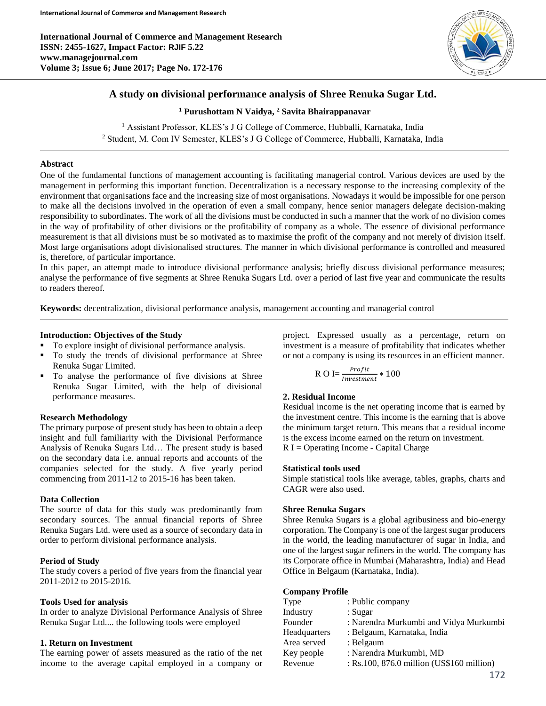**International Journal of Commerce and Management Research ISSN: 2455-1627, Impact Factor: RJIF 5.22 www.managejournal.com Volume 3; Issue 6; June 2017; Page No. 172-176**



# **A study on divisional performance analysis of Shree Renuka Sugar Ltd.**

**<sup>1</sup> Purushottam N Vaidya, <sup>2</sup> Savita Bhairappanavar**

<sup>1</sup> Assistant Professor, KLES's J G College of Commerce, Hubballi, Karnataka, India <sup>2</sup> Student, M. Com IV Semester, KLES's J G College of Commerce, Hubballi, Karnataka, India

# **Abstract**

One of the fundamental functions of management accounting is facilitating managerial control. Various devices are used by the management in performing this important function. Decentralization is a necessary response to the increasing complexity of the environment that organisations face and the increasing size of most organisations. Nowadays it would be impossible for one person to make all the decisions involved in the operation of even a small company, hence senior managers delegate decision-making responsibility to subordinates. The work of all the divisions must be conducted in such a manner that the work of no division comes in the way of profitability of other divisions or the profitability of company as a whole. The essence of divisional performance measurement is that all divisions must be so motivated as to maximise the profit of the company and not merely of division itself. Most large organisations adopt divisionalised structures. The manner in which divisional performance is controlled and measured is, therefore, of particular importance.

In this paper, an attempt made to introduce divisional performance analysis; briefly discuss divisional performance measures; analyse the performance of five segments at Shree Renuka Sugars Ltd. over a period of last five year and communicate the results to readers thereof.

**Keywords:** decentralization, divisional performance analysis, management accounting and managerial control

# **Introduction: Objectives of the Study**

- To explore insight of divisional performance analysis.
- To study the trends of divisional performance at Shree Renuka Sugar Limited.
- To analyse the performance of five divisions at Shree Renuka Sugar Limited, with the help of divisional performance measures.

# **Research Methodology**

The primary purpose of present study has been to obtain a deep insight and full familiarity with the Divisional Performance Analysis of Renuka Sugars Ltd… The present study is based on the secondary data i.e. annual reports and accounts of the companies selected for the study. A five yearly period commencing from 2011-12 to 2015-16 has been taken.

#### **Data Collection**

The source of data for this study was predominantly from secondary sources. The annual financial reports of Shree Renuka Sugars Ltd. were used as a source of secondary data in order to perform divisional performance analysis.

# **Period of Study**

The study covers a period of five years from the financial year 2011-2012 to 2015-2016.

# **Tools Used for analysis**

In order to analyze Divisional Performance Analysis of Shree Renuka Sugar Ltd.... the following tools were employed

### **1. Return on Investment**

The earning power of assets measured as the ratio of the net income to the average capital employed in a company or project. Expressed usually as a percentage, return on investment is a measure of profitability that indicates whether or not a company is using its resources in an efficient manner.

$$
ROI = \frac{Profit}{Investment} * 100
$$

# **2. Residual Income**

Residual income is the net operating income that is earned by the investment centre. This income is the earning that is above the minimum target return. This means that a residual income is the excess income earned on the return on investment.  $R I =$ Operating Income - Capital Charge

#### **Statistical tools used**

Simple statistical tools like average, tables, graphs, charts and CAGR were also used.

# **Shree Renuka Sugars**

Shree Renuka Sugars is a global agribusiness and bio-energy corporation. The Company is one of the largest sugar producers in the world, the leading manufacturer of sugar in India, and one of the largest sugar refiners in the world. The company has its Corporate office in Mumbai (Maharashtra, India) and Head Office in Belgaum (Karnataka, India).

#### **Company Profile**

| Type         | : Public company                          |
|--------------|-------------------------------------------|
| Industry     | : Sugar                                   |
| Founder      | : Narendra Murkumbi and Vidya Murkumbi    |
| Headquarters | : Belgaum, Karnataka, India               |
| Area served  | : Belgaum                                 |
| Key people   | : Narendra Murkumbi, MD                   |
| Revenue      | : Rs.100, 876.0 million (US\$160 million) |
|              |                                           |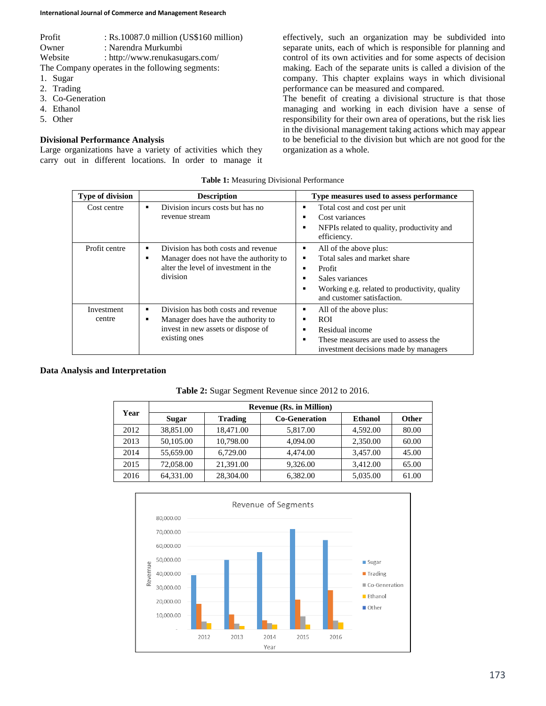| Profit  | : $Rs.10087.0$ million (US\$160 million) |
|---------|------------------------------------------|
| Owner   | : Narendra Murkumbi                      |
| Website | : http://www.renukasugars.com/           |
|         |                                          |

The Company operates in the following segments:

- 1. Sugar
- 2. Trading
- 3. Co-Generation
- 4. Ethanol
- 5. Other

## **Divisional Performance Analysis**

Large organizations have a variety of activities which they carry out in different locations. In order to manage it effectively, such an organization may be subdivided into separate units, each of which is responsible for planning and control of its own activities and for some aspects of decision making. Each of the separate units is called a division of the company. This chapter explains ways in which divisional performance can be measured and compared.

The benefit of creating a divisional structure is that those managing and working in each division have a sense of responsibility for their own area of operations, but the risk lies in the divisional management taking actions which may appear to be beneficial to the division but which are not good for the organization as a whole.

#### **Table 1:** Measuring Divisional Performance

| <b>Type of division</b> | <b>Description</b>                                                                                                                | Type measures used to assess performance                                                                                                                                                    |
|-------------------------|-----------------------------------------------------------------------------------------------------------------------------------|---------------------------------------------------------------------------------------------------------------------------------------------------------------------------------------------|
| Cost centre             | Division incurs costs but has no<br>revenue stream                                                                                | Total cost and cost per unit<br>٠<br>Cost variances<br>٠<br>NFPIs related to quality, productivity and<br>٠<br>efficiency.                                                                  |
| Profit centre           | Division has both costs and revenue<br>Manager does not have the authority to<br>alter the level of investment in the<br>division | All of the above plus:<br>٠<br>Total sales and market share<br>٠<br>Profit<br>٠<br>Sales variances<br>٠<br>Working e.g. related to productivity, quality<br>٠<br>and customer satisfaction. |
| Investment<br>centre    | Division has both costs and revenue<br>Manager does have the authority to<br>invest in new assets or dispose of<br>existing ones  | All of the above plus:<br>٠<br>ROI.<br>٠<br>Residual income<br>These measures are used to assess the<br>٠<br>investment decisions made by managers                                          |

#### **Data Analysis and Interpretation**

|      | <b>Revenue (Rs. in Million)</b> |                |                      |          |       |
|------|---------------------------------|----------------|----------------------|----------|-------|
| Year | Sugar                           | <b>Trading</b> | <b>Co-Generation</b> | Ethanol  | Other |
| 2012 | 38,851.00                       | 18,471.00      | 5,817.00             | 4.592.00 | 80.00 |
| 2013 | 50,105.00                       | 10.798.00      | 4,094.00             | 2,350.00 | 60.00 |
| 2014 | 55,659.00                       | 6.729.00       | 4,474.00             | 3.457.00 | 45.00 |
| 2015 | 72,058.00                       | 21.391.00      | 9.326.00             | 3.412.00 | 65.00 |
| 2016 | 64,331.00                       | 28,304.00      | 6.382.00             | 5.035.00 | 61.00 |

**Table 2:** Sugar Segment Revenue since 2012 to 2016.

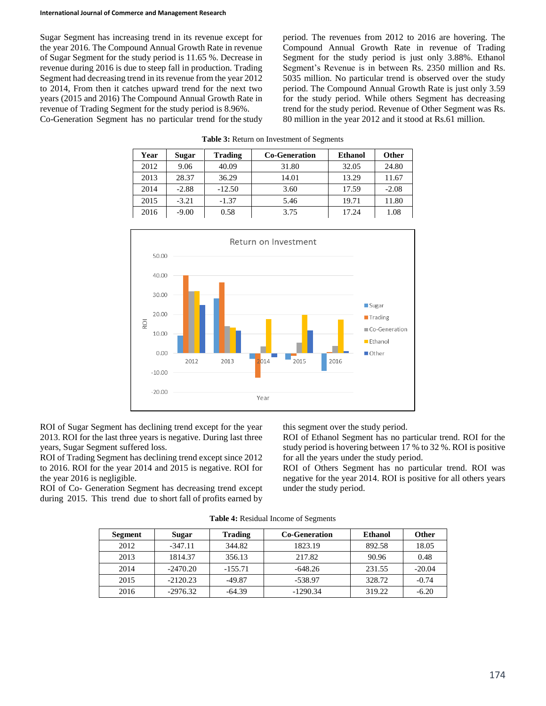Sugar Segment has increasing trend in its revenue except for the year 2016. The Compound Annual Growth Rate in revenue of Sugar Segment for the study period is 11.65 %. Decrease in revenue during 2016 is due to steep fall in production. Trading Segment had decreasing trend in its revenue from the year 2012 to 2014, From then it catches upward trend for the next two years (2015 and 2016) The Compound Annual Growth Rate in revenue of Trading Segment for the study period is 8.96%.

Co-Generation Segment has no particular trend for the study

period. The revenues from 2012 to 2016 are hovering. The Compound Annual Growth Rate in revenue of Trading Segment for the study period is just only 3.88%. Ethanol Segment's Revenue is in between Rs. 2350 million and Rs. 5035 million. No particular trend is observed over the study period. The Compound Annual Growth Rate is just only 3.59 for the study period. While others Segment has decreasing trend for the study period. Revenue of Other Segment was Rs. 80 million in the year 2012 and it stood at Rs.61 million.

| Year | Sugar   | Trading  | <b>Co-Generation</b> | <b>Ethanol</b> | <b>Other</b> |
|------|---------|----------|----------------------|----------------|--------------|
| 2012 | 9.06    | 40.09    | 31.80                | 32.05          | 24.80        |
| 2013 | 28.37   | 36.29    | 14.01                | 13.29          | 11.67        |
| 2014 | $-2.88$ | $-12.50$ | 3.60                 | 17.59          | $-2.08$      |
| 2015 | $-3.21$ | $-1.37$  | 5.46                 | 19.71          | 11.80        |
| 2016 | $-9.00$ | 0.58     | 3.75                 | 17.24          | 1.08         |

**Table 3:** Return on Investment of Segments



ROI of Sugar Segment has declining trend except for the year 2013. ROI for the last three years is negative. During last three years, Sugar Segment suffered loss.

ROI of Trading Segment has declining trend except since 2012 to 2016. ROI for the year 2014 and 2015 is negative. ROI for the year 2016 is negligible.

ROI of Co- Generation Segment has decreasing trend except during 2015. This trend due to short fall of profits earned by

this segment over the study period.

ROI of Ethanol Segment has no particular trend. ROI for the study period is hovering between 17 % to 32 %. ROI is positive for all the years under the study period.

ROI of Others Segment has no particular trend. ROI was negative for the year 2014. ROI is positive for all others years under the study period.

| Segment | Sugar      | <b>Trading</b> | <b>Co-Generation</b> | Ethanol | <b>Other</b> |
|---------|------------|----------------|----------------------|---------|--------------|
| 2012    | $-347.11$  | 344.82         | 1823.19              | 892.58  | 18.05        |
| 2013    | 1814.37    | 356.13         | 217.82               | 90.96   | 0.48         |
| 2014    | $-2470.20$ | $-155.71$      | $-648.26$            | 231.55  | $-20.04$     |
| 2015    | $-2120.23$ | $-49.87$       | $-538.97$            | 328.72  | $-0.74$      |
| 2016    | $-2976.32$ | $-64.39$       | $-1290.34$           | 319.22  | $-6.20$      |

**Table 4:** Residual Income of Segments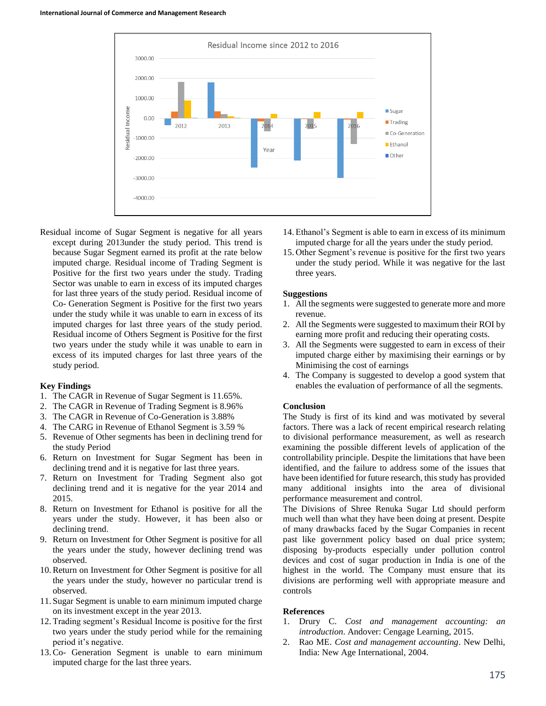

Residual income of Sugar Segment is negative for all years except during 2013under the study period. This trend is because Sugar Segment earned its profit at the rate below imputed charge. Residual income of Trading Segment is Positive for the first two years under the study. Trading Sector was unable to earn in excess of its imputed charges for last three years of the study period. Residual income of Co- Generation Segment is Positive for the first two years under the study while it was unable to earn in excess of its imputed charges for last three years of the study period. Residual income of Others Segment is Positive for the first two years under the study while it was unable to earn in excess of its imputed charges for last three years of the study period.

### **Key Findings**

- 1. The CAGR in Revenue of Sugar Segment is 11.65%.
- 2. The CAGR in Revenue of Trading Segment is 8.96%
- 3. The CAGR in Revenue of Co-Generation is 3.88%
- 4. The CARG in Revenue of Ethanol Segment is 3.59 %
- 5. Revenue of Other segments has been in declining trend for the study Period
- 6. Return on Investment for Sugar Segment has been in declining trend and it is negative for last three years.
- 7. Return on Investment for Trading Segment also got declining trend and it is negative for the year 2014 and 2015.
- 8. Return on Investment for Ethanol is positive for all the years under the study. However, it has been also or declining trend.
- 9. Return on Investment for Other Segment is positive for all the years under the study, however declining trend was observed.
- 10.Return on Investment for Other Segment is positive for all the years under the study, however no particular trend is observed.
- 11. Sugar Segment is unable to earn minimum imputed charge on its investment except in the year 2013.
- 12. Trading segment's Residual Income is positive for the first two years under the study period while for the remaining period it's negative.
- 13.Co- Generation Segment is unable to earn minimum imputed charge for the last three years.
- 14. Ethanol's Segment is able to earn in excess of its minimum imputed charge for all the years under the study period.
- 15. Other Segment's revenue is positive for the first two years under the study period. While it was negative for the last three years.

#### **Suggestions**

- 1. All the segments were suggested to generate more and more revenue.
- 2. All the Segments were suggested to maximum their ROI by earning more profit and reducing their operating costs.
- 3. All the Segments were suggested to earn in excess of their imputed charge either by maximising their earnings or by Minimising the cost of earnings
- 4. The Company is suggested to develop a good system that enables the evaluation of performance of all the segments.

#### **Conclusion**

The Study is first of its kind and was motivated by several factors. There was a lack of recent empirical research relating to divisional performance measurement, as well as research examining the possible different levels of application of the controllability principle. Despite the limitations that have been identified, and the failure to address some of the issues that have been identified for future research, this study has provided many additional insights into the area of divisional performance measurement and control.

The Divisions of Shree Renuka Sugar Ltd should perform much well than what they have been doing at present. Despite of many drawbacks faced by the Sugar Companies in recent past like government policy based on dual price system; disposing by-products especially under pollution control devices and cost of sugar production in India is one of the highest in the world. The Company must ensure that its divisions are performing well with appropriate measure and controls

#### **References**

- 1. Drury C. *Cost and management accounting: an introduction*. Andover: Cengage Learning, 2015.
- 2. Rao ME. *Cost and management accounting*. New Delhi, India: New Age International, 2004.